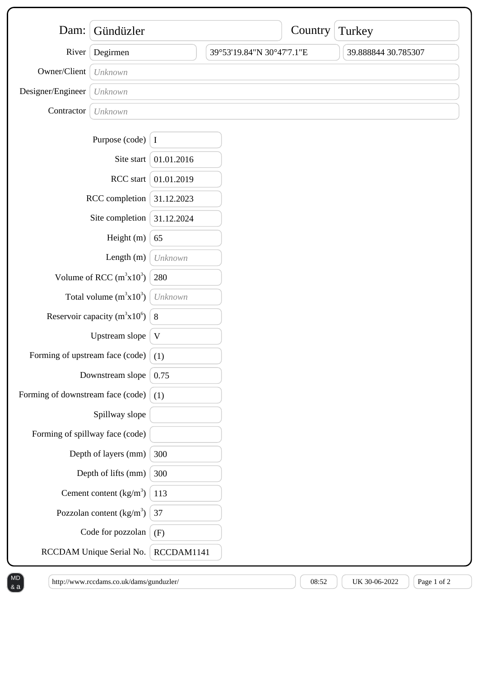| Dam:                              | Gündüzler                  |            |                           | Country | Turkey              |
|-----------------------------------|----------------------------|------------|---------------------------|---------|---------------------|
| River                             | Degirmen                   |            | 39°53'19.84"N 30°47'7.1"E |         | 39.888844 30.785307 |
| Owner/Client                      | Unknown                    |            |                           |         |                     |
| Designer/Engineer                 | Unknown                    |            |                           |         |                     |
| Contractor                        | Unknown                    |            |                           |         |                     |
|                                   | Purpose (code) $\vert$ I   |            |                           |         |                     |
|                                   | Site start                 | 01.01.2016 |                           |         |                     |
| RCC start                         |                            | 01.01.2019 |                           |         |                     |
| RCC completion                    |                            | 31.12.2023 |                           |         |                     |
| Site completion                   |                            | 31.12.2024 |                           |         |                     |
| Height (m)                        |                            | 65         |                           |         |                     |
| Length $(m)$                      |                            | Unknown    |                           |         |                     |
| Volume of RCC $(m^3x10^3)$        |                            | 280        |                           |         |                     |
| Total volume $(m^3x10^3)$         |                            | Unknown    |                           |         |                     |
| Reservoir capacity ( $m^3x10^6$ ) |                            | 8          |                           |         |                     |
| Upstream slope                    |                            | V          |                           |         |                     |
| Forming of upstream face (code)   |                            | (1)        |                           |         |                     |
| Downstream slope                  |                            | 0.75       |                           |         |                     |
| Forming of downstream face (code) |                            | (1)        |                           |         |                     |
| Spillway slope                    |                            |            |                           |         |                     |
| Forming of spillway face (code)   |                            |            |                           |         |                     |
| Depth of layers (mm)              |                            | 300        |                           |         |                     |
|                                   | Depth of lifts (mm)        | 300        |                           |         |                     |
|                                   | Cement content $(kg/m3)$   | 113        |                           |         |                     |
|                                   | Pozzolan content $(kg/m3)$ | 37         |                           |         |                     |
|                                   | Code for pozzolan          | (F)        |                           |         |                     |
| RCCDAM Unique Serial No.          |                            | RCCDAM1141 |                           |         |                     |

 $\&a$